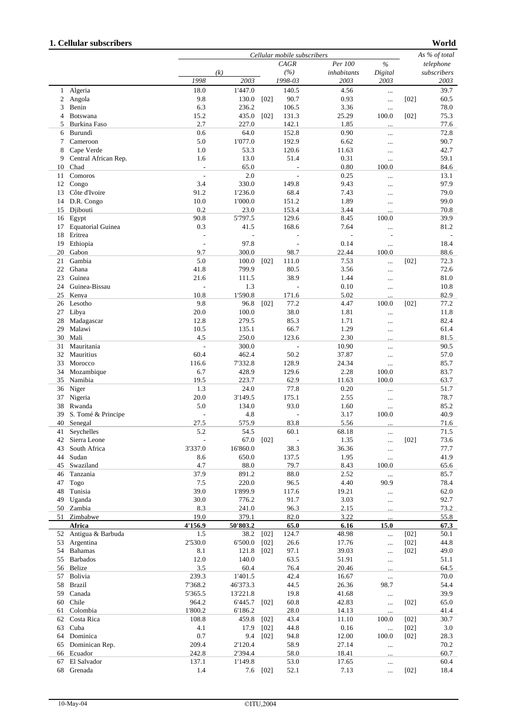## **1. Cellular subscribers**

**World**

|                |                          |                | Cellular mobile subscribers |        |                          |                |           |           |             |
|----------------|--------------------------|----------------|-----------------------------|--------|--------------------------|----------------|-----------|-----------|-------------|
|                |                          |                |                             |        | CAGR                     | Per 100        | $\%$      | telephone |             |
|                |                          |                | (k)                         |        | (%)                      | inhabitants    | Digital   |           | subscribers |
|                |                          | 1998           | 2003                        |        | 1998-03                  | 2003           | 2003      |           | 2003        |
|                | 1 Algeria                | 18.0           | 1'447.0                     |        | 140.5                    | 4.56           | $\cdots$  |           | 39.7        |
| 2              | Angola                   | 9.8            | 130.0                       | [02]   | 90.7                     | 0.93           |           | $[02]$    | 60.5        |
|                | Benin                    | 6.3            | 236.2                       |        | 106.5                    | 3.36           | $\cdots$  |           | 78.0        |
| 3              |                          |                |                             |        |                          |                | $\cdots$  |           |             |
| $\overline{4}$ | Botswana                 | 15.2           | 435.0                       | [02]   | 131.3                    | 25.29          | 100.0     | $[02]$    | 75.3        |
| 5              | Burkina Faso             | 2.7            | 227.0                       |        | 142.1                    | 1.85           | $\ddotsc$ |           | 77.6        |
| 6              | Burundi                  | 0.6            | 64.0                        |        | 152.8                    | 0.90           | $\cdots$  |           | 72.8        |
| 7              | Cameroon                 | 5.0            | 1'077.0                     |        | 192.9                    | 6.62           |           |           | 90.7        |
| 8              | Cape Verde               | 1.0            | 53.3                        |        | 120.6                    | 11.63          |           |           | 42.7        |
| 9              | Central African Rep.     | 1.6            | 13.0                        |        | 51.4                     | 0.31           |           |           | 59.1        |
|                |                          |                |                             |        |                          |                | $\ldots$  |           |             |
| 10             | Chad                     |                | 65.0                        |        |                          | 0.80           | 100.0     |           | 84.6        |
| 11             | Comoros                  |                | 2.0                         |        |                          | 0.25           | $\ddotsc$ |           | 13.1        |
| 12             | Congo                    | 3.4            | 330.0                       |        | 149.8                    | 9.43           |           |           | 97.9        |
| 13             | Côte d'Ivoire            | 91.2           | 1'236.0                     |        | 68.4                     | 7.43           | $\ddotsc$ |           | 79.0        |
| 14             | D.R. Congo               | 10.0           | 1'000.0                     |        | 151.2                    | 1.89           |           |           | 99.0        |
| 15             | Djibouti                 | 0.2            | 23.0                        |        | 153.4                    | 3.44           | $\ddotsc$ |           | 70.8        |
|                | 16 Egypt                 | 90.8           | 5'797.5                     |        | 129.6                    | 8.45           | 100.0     |           | 39.9        |
|                |                          |                |                             |        |                          |                |           |           |             |
| 17             | <b>Equatorial Guinea</b> | 0.3            | 41.5                        |        | 168.6                    | 7.64           |           |           | 81.2        |
| 18             | Eritrea                  | $\overline{a}$ | $\overline{\phantom{a}}$    |        | $\overline{\phantom{a}}$ | $\overline{a}$ |           |           |             |
| 19             | Ethiopia                 | ÷,             | 97.8                        |        | $\overline{\phantom{a}}$ | 0.14           | $\ldots$  |           | 18.4        |
| 20             | Gabon                    | 9.7            | 300.0                       |        | 98.7                     | 22.44          | 100.0     |           | 88.6        |
| 21             | Gambia                   | 5.0            | 100.0                       | [02]   | 111.0                    | 7.53           |           | $[02]$    | 72.3        |
| 22             | Ghana                    | 41.8           | 799.9                       |        | 80.5                     | 3.56           |           |           | 72.6        |
| 23             | Guinea                   |                |                             |        |                          |                | $\ldots$  |           |             |
|                |                          | 21.6           | 111.5                       |        | 38.9                     | 1.44           |           |           | 81.0        |
| 24             | Guinea-Bissau            |                | 1.3                         |        |                          | 0.10           |           |           | 10.8        |
| 25             | Kenya                    | 10.8           | 1'590.8                     |        | 171.6                    | 5.02           |           |           | 82.9        |
| 26             | Lesotho                  | 9.8            | 96.8                        | [02]   | 77.2                     | 4.47           | 100.0     | $[02]$    | 77.2        |
| 27             | Libya                    | 20.0           | 100.0                       |        | 38.0                     | 1.81           | $\cdots$  |           | 11.8        |
| 28             | Madagascar               | 12.8           | 279.5                       |        | 85.3                     | 1.71           | $\cdots$  |           | 82.4        |
| 29             | Malawi                   | 10.5           | 135.1                       |        | 66.7                     | 1.29           |           |           | 61.4        |
|                |                          |                |                             |        |                          |                | $\ddotsc$ |           |             |
| 30             | Mali                     | 4.5            | 250.0                       |        | 123.6                    | 2.30           | $\ddotsc$ |           | 81.5        |
| 31             | Mauritania               | ÷,             | 300.0                       |        | $\sim$                   | 10.90          |           |           | 90.5        |
| 32             | Mauritius                | 60.4           | 462.4                       |        | 50.2                     | 37.87          | $\cdots$  |           | 57.0        |
| 33             | Morocco                  | 116.6          | 7'332.8                     |        | 128.9                    | 24.34          |           |           | 85.7        |
| 34             | Mozambique               | 6.7            | 428.9                       |        | 129.6                    | 2.28           | 100.0     |           | 83.7        |
|                | 35 Namibia               | 19.5           | 223.7                       |        | 62.9                     |                | 100.0     |           |             |
|                |                          |                |                             |        |                          | 11.63          |           |           | 63.7        |
| 36             | Niger                    | 1.3            | 24.0                        |        | 77.8                     | 0.20           |           |           | 51.7        |
| 37             | Nigeria                  | 20.0           | 3'149.5                     |        | 175.1                    | 2.55           | $\cdots$  |           | 78.7        |
| 38             | Rwanda                   | 5.0            | 134.0                       |        | 93.0                     | 1.60           | $\cdots$  |           | 85.2        |
| 39             | S. Tomé & Principe       | L,             | 4.8                         |        | $\overline{\phantom{a}}$ | 3.17           | 100.0     |           | 40.9        |
| 40             | Senegal                  | 27.5           | 575.9                       |        | 83.8                     | 5.56           |           |           | 71.6        |
| 41             | Seychelles               | 5.2            | 54.5                        |        | 60.1                     | 68.18          |           |           | 71.5        |
| 42             |                          |                |                             |        |                          |                | $\ldots$  |           |             |
|                | Sierra Leone             |                | 67.0                        | [02]   |                          | 1.35           | $\cdots$  | [02]      | 73.6        |
| 43             | South Africa             | 3'337.0        | 16'860.0                    |        | 38.3                     | 36.36          | $\cdots$  |           | 77.7        |
| 44             | Sudan                    | 8.6            | 650.0                       |        | 137.5                    | 1.95           |           |           | 41.9        |
| 45             | Swaziland                | 4.7            | 88.0                        |        | 79.7                     | 8.43           | 100.0     |           | 65.6        |
| 46             | Tanzania                 | 37.9           | 891.2                       |        | 88.0                     | 2.52           |           |           | 85.7        |
| 47             | Togo                     | 7.5            | 220.0                       |        | 96.5                     | 4.40           | 90.9      |           | 78.4        |
| 48             | Tunisia                  | 39.0           | 1'899.9                     |        | 117.6                    | 19.21          |           |           | 62.0        |
|                |                          |                |                             |        |                          |                | $\ldots$  |           |             |
| 49             | Uganda                   | 30.0           | 776.2                       |        | 91.7                     | 3.03           |           |           | 92.7        |
|                | 50 Zambia                | 8.3            | 241.0                       |        | 96.3                     | 2.15           |           |           | 73.2        |
| 51             | Zimbabwe                 | 19.0           | 379.1                       |        | 82.0                     | 3.22           |           |           | 55.8        |
|                | Africa                   | 4'156.9        | 50'803.2                    |        | 65.0                     | 6.16           | 15.0      |           | 67.3        |
|                | 52 Antigua & Barbuda     | 1.5            | 38.2                        | [02]   | 124.7                    | 48.98          |           | [02]      | 50.1        |
| 53             | Argentina                | 2'530.0        | 6'500.0                     | [02]   | 26.6                     | 17.76          | $\ddotsc$ | $[02]$    | 44.8        |
| 54             |                          | 8.1            | 121.8                       |        |                          | 39.03          |           |           | 49.0        |
|                | <b>Bahamas</b>           |                |                             | [02]   | 97.1                     |                | $\cdots$  | $[02]$    |             |
|                | 55 Barbados              | 12.0           | 140.0                       |        | 63.5                     | 51.91          | $\cdots$  |           | 51.1        |
|                | 56 Belize                | 3.5            | 60.4                        |        | 76.4                     | 20.46          |           |           | 64.5        |
| 57             | Bolivia                  | 239.3          | 1'401.5                     |        | 42.4                     | 16.67          |           |           | 70.0        |
|                | 58 Brazil                | 7'368.2        | 46'373.3                    |        | 44.5                     | 26.36          | 98.7      |           | 54.4        |
| 59             | Canada                   | 5'365.5        | 13'221.8                    |        | 19.8                     | 41.68          |           |           | 39.9        |
|                |                          |                |                             |        |                          |                |           |           |             |
| 60             | Chile                    | 964.2          | 6'445.7                     | [02]   | 60.8                     | 42.83          |           | $[02]$    | 65.0        |
| 61             | Colombia                 | 1'800.2        | 6'186.2                     |        | 28.0                     | 14.13          | $\ldots$  |           | 41.4        |
| 62             | Costa Rica               | 108.8          | 459.8                       | $[02]$ | 43.4                     | 11.10          | 100.0     | $[02]$    | 30.7        |
| 63             | Cuba                     | 4.1            | 17.9                        | [02]   | 44.8                     | 0.16           | $\ddotsc$ | $[02]$    | 3.0         |
|                | 64 Dominica              | 0.7            | 9.4                         | [02]   | 94.8                     | 12.00          | 100.0     | $[02]$    | 28.3        |
| 65             | Dominican Rep.           | 209.4          | 2'120.4                     |        | 58.9                     | 27.14          | $\cdots$  |           | 70.2        |
| 66             | Ecuador                  | 242.8          | 2'394.4                     |        | 58.0                     | 18.41          |           |           | 60.7        |
|                |                          |                |                             |        |                          |                | $\ddotsc$ |           |             |
| 67             | El Salvador              | 137.1          | 1'149.8                     |        | 53.0                     | 17.65          | $\ldots$  |           | 60.4        |
| 68             | Grenada                  | 1.4            | 7.6                         | [02]   | 52.1                     | 7.13           | $\cdots$  | $[02]$    | 18.4        |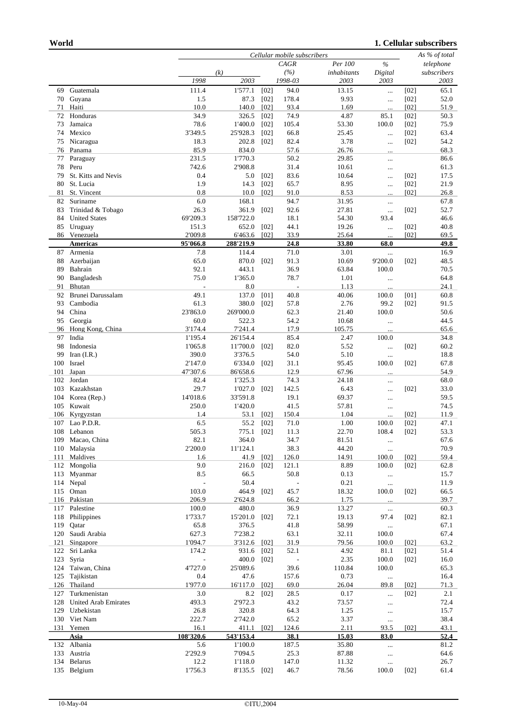## **1. Cellular subscribers**

|          |                             |                  | Cellular mobile subscribers |              |                          |                |                   |              |              |
|----------|-----------------------------|------------------|-----------------------------|--------------|--------------------------|----------------|-------------------|--------------|--------------|
|          |                             |                  |                             |              | CAGR                     | Per 100        | $\frac{9}{6}$     |              | telephone    |
|          |                             |                  | (k)                         |              | (%)                      | inhabitants    | Digital           |              | subscribers  |
|          |                             | 1998             | 2003                        |              | 1998-03                  | 2003           | 2003              |              | 2003         |
| 69       | Guatemala                   | 111.4            | 1'577.1                     | $[02]$       | 94.0                     | 13.15          | $\ddotsc$         | [02]         | 65.1         |
| 70       | Guyana<br>Haiti             | 1.5<br>10.0      | 87.3<br>140.0               | [02]<br>[02] | 178.4<br>93.4            | 9.93<br>1.69   | $\ldots$          | [02]<br>[02] | 52.0<br>51.9 |
| 71<br>72 | Honduras                    | 34.9             | 326.5                       | [02]         | 74.9                     | 4.87           | $\ddotsc$<br>85.1 | $[02]$       | 50.3         |
| 73       | Jamaica                     | 78.6             | 1'400.0                     | [02]         | 105.4                    | 53.30          | 100.0             | [02]         | 75.9         |
| 74       | Mexico                      | 3'349.5          | 25'928.3                    | [02]         | 66.8                     | 25.45          |                   | $[02]$       | 63.4         |
| 75       | Nicaragua                   | 18.3             | 202.8                       | [02]         | 82.4                     | 3.78           | $\ldots$          | $[02]$       | 54.2         |
| 76       | Panama                      | 85.9             | 834.0                       |              | 57.6                     | 26.76          | $\cdots$          |              | 68.3         |
| 77       | Paraguay                    | 231.5            | 1'770.3                     |              | 50.2                     | 29.85          | <br>$\ldots$      |              | 86.6         |
| 78       | Peru                        | 742.6            | 2'908.8                     |              | 31.4                     | 10.61          | $\cdots$          |              | 61.3         |
| 79       | St. Kitts and Nevis         | 0.4              | 5.0                         | [02]         | 83.6                     | 10.64          |                   | $[02]$       | 17.5         |
| 80       | St. Lucia                   | 1.9              | 14.3                        | [02]         | 65.7                     | 8.95           | $\cdots$          | [02]         | 21.9         |
| 81       | St. Vincent                 | 0.8              | 10.0                        | [02]         | 91.0                     | 8.53           |                   | [02]         | 26.8         |
| 82       | Suriname                    | 6.0              | 168.1                       |              | 94.7                     | 31.95          | $\ldots$          |              | 67.8         |
| 83       | Trinidad & Tobago           | 26.3             | 361.9                       | [02]         | 92.6                     | 27.81          | $\ldots$          | $[02]$       | 52.7         |
| 84       | <b>United States</b>        | 69'209.3         | 158'722.0                   |              | 18.1                     | 54.30          | 93.4              |              | 46.6         |
| 85       | Uruguay                     | 151.3            | 652.0                       | [02]         | 44.1                     | 19.26          | $\cdots$          | $[02]$       | 40.8         |
|          | 86 Venezuela                | 2'009.8          | 6'463.6                     | [02]         | 33.9                     | 25.64          |                   | [02]         | 69.5         |
|          | <b>Americas</b>             | 95'066.8         | 288'219.9                   |              | 24.8                     | 33.80          | 68.0              |              | 49.8         |
| 87       | Armenia                     | 7.8              | 114.4                       |              | 71.0                     | 3.01           |                   |              | 16.9         |
| 88       | Azerbaijan                  | 65.0             | 870.0                       | [02]         | 91.3                     | 10.69          | 9'200.0           | $[02]$       | 48.5         |
| 89       | Bahrain                     | 92.1             | 443.1                       |              | 36.9                     | 63.84          | 100.0             |              | 70.5         |
| 90       | Bangladesh                  | 75.0             | 1'365.0                     |              | 78.7                     | 1.01           | $\ldots$          |              | 64.8         |
| 91       | Bhutan                      |                  | 8.0                         |              |                          | 1.13           |                   |              | 24.1         |
| 92       | Brunei Darussalam           | 49.1             | 137.0                       | [01]         | 40.8                     | 40.06          | 100.0             | [01]         | 60.8         |
| 93       | Cambodia                    | 61.3             | 380.0                       | [02]         | 57.8                     | 2.76           | 99.2              | $[02]$       | 91.5         |
| 94<br>95 | China<br>Georgia            | 23'863.0<br>60.0 | 269'000.0<br>522.3          |              | 62.3<br>54.2             | 21.40<br>10.68 | 100.0             |              | 50.6<br>44.5 |
| 96       | Hong Kong, China            | 3'174.4          | 7'241.4                     |              | 17.9                     | 105.75         | $\ddotsc$         |              | 65.6         |
| 97       | India                       | 1'195.4          | 26'154.4                    |              | 85.4                     | 2.47           | <br>100.0         |              | 34.8         |
| 98       | Indonesia                   | 1'065.8          | 11'700.0                    | [02]         | 82.0                     | 5.52           | $\cdots$          | $[02]$       | 60.2         |
| 99       | Iran $(I.R.)$               | 390.0            | 3'376.5                     |              | 54.0                     | 5.10           | $\ldots$          |              | 18.8         |
| 100      | Israel                      | 2'147.0          | 6'334.0                     | [02]         | 31.1                     | 95.45          | 100.0             | [02]         | 67.8         |
| 101      | Japan                       | 47'307.6         | 86'658.6                    |              | 12.9                     | 67.96          |                   |              | 54.9         |
| 102      | Jordan                      | 82.4             | 1'325.3                     |              | 74.3                     | 24.18          |                   |              | 68.0         |
| 103      | Kazakhstan                  | 29.7             | 1'027.0                     | [02]         | 142.5                    | 6.43           | $\cdots$          | $[02]$       | 33.0         |
| 104      | Korea (Rep.)                | 14'018.6         | 33'591.8                    |              | 19.1                     | 69.37          | $\cdots$          |              | 59.5         |
| 105      | Kuwait                      | 250.0            | 1'420.0                     |              | 41.5                     | 57.81          | $\cdots$          |              | 74.5         |
| 106      | Kyrgyzstan                  | 1.4              | 53.1                        | [02]         | 150.4                    | 1.04           |                   | [02]         | 11.9         |
| 107      | Lao P.D.R.                  | 6.5              | 55.2                        | [02]         | 71.0                     | 1.00           | 100.0             | [02]         | 47.1         |
| 108      | Lebanon                     | 505.3            | 775.1                       | [02]         | 11.3                     | 22.70          | 108.4             | [02]         | 53.3         |
| 109      | Macao, China                | 82.1             | 364.0                       |              | 34.7                     | 81.51          | $\cdots$          |              | 67.6         |
| 110      | Malaysia                    | 2'200.0          | 11'124.1                    |              | 38.3                     | 44.20          | $\cdots$          |              | 70.9         |
| 111      | Maldives                    | 1.6              | 41.9                        | [02]         | 126.0                    | 14.91          | 100.0             | [02]         | 59.4         |
| 112      | Mongolia                    | 9.0              | 216.0                       | $[02]$       | 121.1                    | 8.89           | 100.0             | $[02]$       | 62.8         |
| 113      | Myanmar                     | 8.5              | 66.5                        |              | 50.8                     | 0.13           | $\ldots$          |              | 15.7         |
| 114      | Nepal                       | $\blacksquare$   | 50.4                        |              | $\overline{\phantom{a}}$ | 0.21           | $\ldots$          |              | 11.9         |
| 115      | Oman<br>116 Pakistan        | 103.0<br>206.9   | 464.9<br>2'624.8            | [02]         | 45.7                     | 18.32          | 100.0             | $[02]$       | 66.5         |
| 117      | Palestine                   | 100.0            | 480.0                       |              | 66.2<br>36.9             | 1.75<br>13.27  |                   |              | 39.7<br>60.3 |
| 118      | Philippines                 | 1'733.7          | 15'201.0                    | $[02]$       | 72.1                     | 19.13          | $\ddotsc$<br>97.4 | $[02]$       | 82.1         |
| 119      | Qatar                       | 65.8             | 376.5                       |              | 41.8                     | 58.99          |                   |              | 67.1         |
| 120      | Saudi Arabia                | 627.3            | 7'238.2                     |              | 63.1                     | 32.11          | $\ldots$<br>100.0 |              | 67.4         |
| 121      | Singapore                   | 1'094.7          | 3'312.6                     | [02]         | 31.9                     | 79.56          | 100.0             | [02]         | 63.2         |
| 122      | Sri Lanka                   | 174.2            | 931.6                       | [02]         | 52.1                     | 4.92           | 81.1              | [02]         | 51.4         |
| 123      | Syria                       | $\frac{1}{2}$    | 400.0                       | [02]         | $\blacksquare$           | 2.35           | 100.0             | $[02]$       | 16.0         |
| 124      | Taiwan, China               | 4'727.0          | 25'089.6                    |              | 39.6                     | 110.84         | 100.0             |              | 65.3         |
| 125      | Tajikistan                  | 0.4              | 47.6                        |              | 157.6                    | 0.73           | $\cdots$          |              | 16.4         |
| 126      | Thailand                    | 1'977.0          | 16'117.0                    | [02]         | 69.0                     | 26.04          | 89.8              | [02]         | 71.3         |
| 127      | Turkmenistan                | 3.0              | 8.2                         | [02]         | 28.5                     | 0.17           |                   | [02]         | 2.1          |
| 128      | <b>United Arab Emirates</b> | 493.3            | 2'972.3                     |              | 43.2                     | 73.57          | $\ldots$          |              | 72.4         |
| 129      | Uzbekistan                  | 26.8             | 320.8                       |              | 64.3                     | 1.25           | $\cdots$          |              | 15.7         |
|          | 130 Viet Nam                | 222.7            | 2'742.0                     |              | 65.2                     | 3.37           | $\ldots$          |              | 38.4         |
| 131      | Yemen                       | 16.1             | 411.1                       | [02]         | 124.6                    | 2.11           | 93.5              | [02]         | 43.1         |
|          | Asia                        | 108'320.6        | 543'153.4                   |              | 38.1                     | 15.03          | 83.0              |              | 52.4         |
|          | 132 Albania                 | 5.6              | 1'100.0                     |              | 187.5                    | 35.80          |                   |              | 81.2         |
| 133      | Austria                     | 2'292.9          | 7'094.5                     |              | 25.3                     | 87.88          | $\ldots$          |              | 64.6         |
| 134      | Belarus                     | 12.2             | 1'118.0                     |              | 147.0                    | 11.32          | $\ldots$          |              | 26.7         |
|          | 135 Belgium                 | 1'756.3          | 8'135.5                     | [02]         | 46.7                     | 78.56          | 100.0             | $[02]$       | 61.4         |